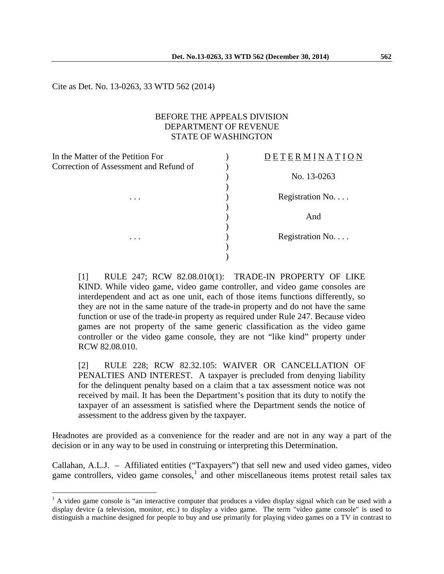Cite as Det. No. 13-0263, 33 WTD 562 (2014)

 $\overline{a}$ 

### BEFORE THE APPEALS DIVISION DEPARTMENT OF REVENUE STATE OF WASHINGTON

| In the Matter of the Petition For      | <b>DETERMINATION</b> |
|----------------------------------------|----------------------|
| Correction of Assessment and Refund of |                      |
|                                        | No. 13-0263          |
|                                        |                      |
| $\cdots$                               | Registration No.     |
|                                        |                      |
|                                        | And                  |
|                                        |                      |
| $\cdots$                               | Registration No.     |
|                                        |                      |
|                                        |                      |

[1] RULE 247; RCW 82.08.010(1): TRADE-IN PROPERTY OF LIKE KIND. While video game, video game controller, and video game consoles are interdependent and act as one unit, each of those items functions differently, so they are not in the same nature of the trade-in property and do not have the same function or use of the trade-in property as required under Rule 247. Because video games are not property of the same generic classification as the video game controller or the video game console, they are not "like kind" property under RCW 82.08.010.

[2] RULE 228; RCW 82.32.105: WAIVER OR CANCELLATION OF PENALTIES AND INTEREST. A taxpayer is precluded from denying liability for the delinquent penalty based on a claim that a tax assessment notice was not received by mail. It has been the Department's position that its duty to notify the taxpayer of an assessment is satisfied where the Department sends the notice of assessment to the address given by the taxpayer.

Headnotes are provided as a convenience for the reader and are not in any way a part of the decision or in any way to be used in construing or interpreting this Determination.

Callahan, A.L.J. – Affiliated entities ("Taxpayers") that sell new and used video games, video game controllers, video game consoles, $\frac{1}{1}$  $\frac{1}{1}$  $\frac{1}{1}$  and other miscellaneous items protest retail sales tax

<span id="page-0-0"></span> $<sup>1</sup>$  A video game console is "an interactive computer that produces a [video display signal](http://en.wikipedia.org/wiki/Video_signal) which can be used with a</sup> display device (a [television,](http://en.wikipedia.org/wiki/Television) [monitor,](http://en.wikipedia.org/wiki/Video_monitor) etc.) to display a [video game.](http://en.wikipedia.org/wiki/Video_game) The term "video game console" is used to distinguish a [machine](http://en.wikipedia.org/wiki/Machine) designed for people to buy and use primarily for playing video games on a TV in contrast to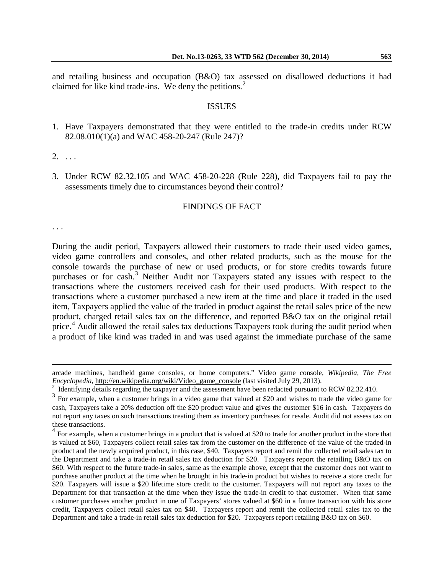and retailing business and occupation (B&O) tax assessed on disallowed deductions it had claimed for like kind trade-ins. We deny the petitions. $<sup>2</sup>$  $<sup>2</sup>$  $<sup>2</sup>$ </sup>

#### ISSUES

1. Have Taxpayers demonstrated that they were entitled to the trade-in credits under RCW 82.08.010(1)(a) and WAC 458-20-247 (Rule 247)?

 $2. \ldots$ 

3. Under RCW 82.32.105 and WAC 458-20-228 (Rule 228), did Taxpayers fail to pay the assessments timely due to circumstances beyond their control?

#### FINDINGS OF FACT

. . .

 $\overline{a}$ 

During the audit period, Taxpayers allowed their customers to trade their used video games, video game controllers and consoles, and other related products, such as the mouse for the console towards the purchase of new or used products, or for store credits towards future purchases or for cash.<sup>[3](#page-1-1)</sup> Neither Audit nor Taxpayers stated any issues with respect to the transactions where the customers received cash for their used products. With respect to the transactions where a customer purchased a new item at the time and place it traded in the used item, Taxpayers applied the value of the traded in product against the retail sales price of the new product, charged retail sales tax on the difference, and reported B&O tax on the original retail price.<sup>[4](#page-1-2)</sup> Audit allowed the retail sales tax deductions Taxpayers took during the audit period when a product of like kind was traded in and was used against the immediate purchase of the same

[arcade machines,](http://en.wikipedia.org/wiki/Arcade_machine) [handheld game consoles,](http://en.wikipedia.org/wiki/Handheld_game_console) or [home computers.](http://en.wikipedia.org/wiki/Home_computer)" Video game console, *Wikipedia, The Free Encyclopedia*, http://en.wikipedia.org/wiki/Video\_game\_console (last visited July 29, 2013).<br><sup>2</sup> Identifying details regarding the taxpayer and the assessment have been redacted pursuant to RCW 82.32.410.

<span id="page-1-1"></span><span id="page-1-0"></span><sup>&</sup>lt;sup>3</sup> For example, when a customer brings in a video game that valued at \$20 and wishes to trade the video game for cash, Taxpayers take a 20% deduction off the \$20 product value and gives the customer \$16 in cash. Taxpayers do not report any taxes on such transactions treating them as inventory purchases for resale. Audit did not assess tax on these transactions.

<span id="page-1-2"></span><sup>&</sup>lt;sup>4</sup> For example, when a customer brings in a product that is valued at \$20 to trade for another product in the store that is valued at \$60, Taxpayers collect retail sales tax from the customer on the difference of the value of the traded-in product and the newly acquired product, in this case, \$40. Taxpayers report and remit the collected retail sales tax to the Department and take a trade-in retail sales tax deduction for \$20. Taxpayers report the retailing B&O tax on \$60. With respect to the future trade-in sales, same as the example above, except that the customer does not want to purchase another product at the time when he brought in his trade-in product but wishes to receive a store credit for \$20. Taxpayers will issue a \$20 lifetime store credit to the customer. Taxpayers will not report any taxes to the Department for that transaction at the time when they issue the trade-in credit to that customer. When that same customer purchases another product in one of Taxpayers' stores valued at \$60 in a future transaction with his store credit, Taxpayers collect retail sales tax on \$40. Taxpayers report and remit the collected retail sales tax to the Department and take a trade-in retail sales tax deduction for \$20. Taxpayers report retailing B&O tax on \$60.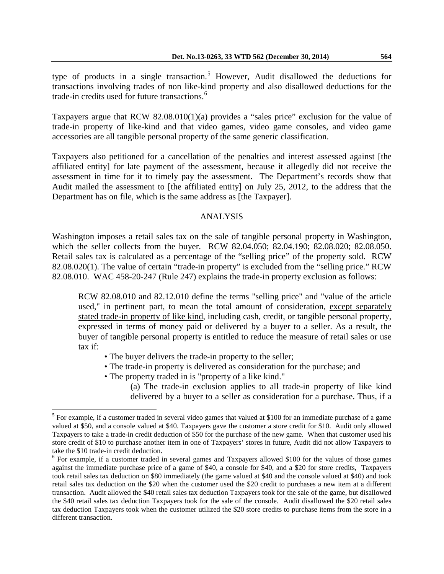Taxpayers argue that RCW  $82.08.010(1)(a)$  provides a "sales price" exclusion for the value of trade-in property of like-kind and that video games, video game consoles, and video game accessories are all tangible personal property of the same generic classification.

Taxpayers also petitioned for a cancellation of the penalties and interest assessed against [the affiliated entity] for late payment of the assessment, because it allegedly did not receive the assessment in time for it to timely pay the assessment. The Department's records show that Audit mailed the assessment to [the affiliated entity] on July 25, 2012, to the address that the Department has on file, which is the same address as [the Taxpayer].

### ANALYSIS

Washington imposes a retail sales tax on the sale of tangible personal property in Washington, which the seller collects from the buyer. RCW 82.04.050; 82.04.190; 82.08.020; 82.08.050. Retail sales tax is calculated as a percentage of the "selling price" of the property sold. RCW 82.08.020(1). The value of certain "trade-in property" is excluded from the "selling price." RCW 82.08.010. WAC 458-20-247 (Rule 247) explains the trade-in property exclusion as follows:

RCW [82.08.010](http://apps.leg.wa.gov/RCW/default.aspx?cite=82.08.010) and [82.12.010](http://apps.leg.wa.gov/RCW/default.aspx?cite=82.12.010) define the terms "selling price" and "value of the article used," in pertinent part, to mean the total amount of consideration, except separately stated trade-in property of like kind, including cash, credit, or tangible personal property, expressed in terms of money paid or delivered by a buyer to a seller. As a result, the buyer of tangible personal property is entitled to reduce the measure of retail sales or use tax if:

- The buyer delivers the trade-in property to the seller;
- The trade-in property is delivered as consideration for the purchase; and
- The property traded in is "property of a like kind."

 $\overline{a}$ 

(a) The trade-in exclusion applies to all trade-in property of like kind delivered by a buyer to a seller as consideration for a purchase. Thus, if a

<span id="page-2-0"></span> $<sup>5</sup>$  For example, if a customer traded in several video games that valued at \$100 for an immediate purchase of a game</sup> valued at \$50, and a console valued at \$40. Taxpayers gave the customer a store credit for \$10. Audit only allowed Taxpayers to take a trade-in credit deduction of \$50 for the purchase of the new game. When that customer used his store credit of \$10 to purchase another item in one of Taxpayers' stores in future, Audit did not allow Taxpayers to take the \$10 trade-in credit deduction.<br><sup>6</sup> For example, if a customer traded in several games and Taxpayers allowed \$100 for the values of those games

<span id="page-2-1"></span>against the immediate purchase price of a game of \$40, a console for \$40, and a \$20 for store credits, Taxpayers took retail sales tax deduction on \$80 immediately (the game valued at \$40 and the console valued at \$40) and took retail sales tax deduction on the \$20 when the customer used the \$20 credit to purchases a new item at a different transaction. Audit allowed the \$40 retail sales tax deduction Taxpayers took for the sale of the game, but disallowed the \$40 retail sales tax deduction Taxpayers took for the sale of the console. Audit disallowed the \$20 retail sales tax deduction Taxpayers took when the customer utilized the \$20 store credits to purchase items from the store in a different transaction.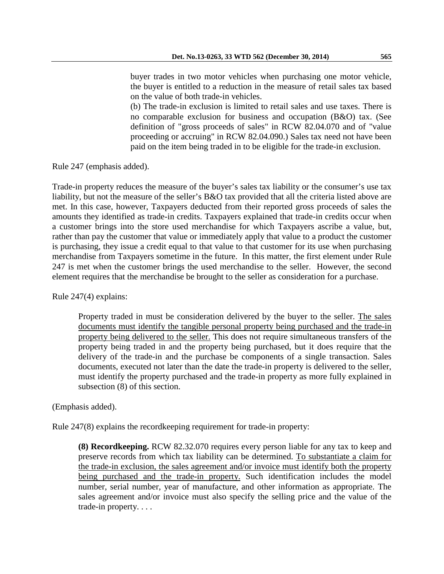buyer trades in two motor vehicles when purchasing one motor vehicle, the buyer is entitled to a reduction in the measure of retail sales tax based on the value of both trade-in vehicles.

(b) The trade-in exclusion is limited to retail sales and use taxes. There is no comparable exclusion for business and occupation (B&O) tax. (See definition of "gross proceeds of sales" in RCW [82.04.070](http://apps.leg.wa.gov/RCW/default.aspx?cite=82.04.070) and of "value proceeding or accruing" in RCW [82.04.090.](http://apps.leg.wa.gov/RCW/default.aspx?cite=82.04.090)) Sales tax need not have been paid on the item being traded in to be eligible for the trade-in exclusion.

Rule 247 (emphasis added).

Trade-in property reduces the measure of the buyer's sales tax liability or the consumer's use tax liability, but not the measure of the seller's B&O tax provided that all the criteria listed above are met. In this case, however, Taxpayers deducted from their reported gross proceeds of sales the amounts they identified as trade-in credits. Taxpayers explained that trade-in credits occur when a customer brings into the store used merchandise for which Taxpayers ascribe a value, but, rather than pay the customer that value or immediately apply that value to a product the customer is purchasing, they issue a credit equal to that value to that customer for its use when purchasing merchandise from Taxpayers sometime in the future. In this matter, the first element under Rule 247 is met when the customer brings the used merchandise to the seller. However, the second element requires that the merchandise be brought to the seller as consideration for a purchase.

Rule 247(4) explains:

Property traded in must be consideration delivered by the buyer to the seller. The sales documents must identify the tangible personal property being purchased and the trade-in property being delivered to the seller. This does not require simultaneous transfers of the property being traded in and the property being purchased, but it does require that the delivery of the trade-in and the purchase be components of a single transaction. Sales documents, executed not later than the date the trade-in property is delivered to the seller, must identify the property purchased and the trade-in property as more fully explained in subsection (8) of this section.

(Emphasis added).

Rule 247(8) explains the recordkeeping requirement for trade-in property:

**(8) Recordkeeping.** RCW [82.32.070](http://apps.leg.wa.gov/RCW/default.aspx?cite=82.32.070) requires every person liable for any tax to keep and preserve records from which tax liability can be determined. To substantiate a claim for the trade-in exclusion, the sales agreement and/or invoice must identify both the property being purchased and the trade-in property. Such identification includes the model number, serial number, year of manufacture, and other information as appropriate. The sales agreement and/or invoice must also specify the selling price and the value of the trade-in property. . . .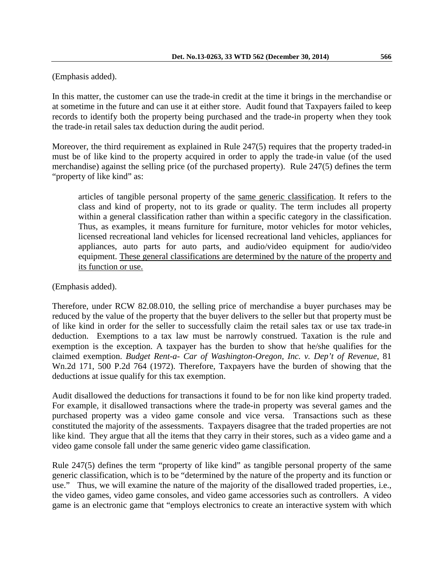# (Emphasis added).

In this matter, the customer can use the trade-in credit at the time it brings in the merchandise or at sometime in the future and can use it at either store. Audit found that Taxpayers failed to keep records to identify both the property being purchased and the trade-in property when they took the trade-in retail sales tax deduction during the audit period.

Moreover, the third requirement as explained in Rule 247(5) requires that the property traded-in must be of like kind to the property acquired in order to apply the trade-in value (of the used merchandise) against the selling price (of the purchased property). Rule 247(5) defines the term "property of like kind" as:

articles of tangible personal property of the same generic classification. It refers to the class and kind of property, not to its grade or quality. The term includes all property within a general classification rather than within a specific category in the classification. Thus, as examples, it means furniture for furniture, motor vehicles for motor vehicles, licensed recreational land vehicles for licensed recreational land vehicles, appliances for appliances, auto parts for auto parts, and audio/video equipment for audio/video equipment. These general classifications are determined by the nature of the property and its function or use.

(Emphasis added).

Therefore, under RCW 82.08.010, the selling price of merchandise a buyer purchases may be reduced by the value of the property that the buyer delivers to the seller but that property must be of like kind in order for the seller to successfully claim the retail sales tax or use tax trade-in deduction. Exemptions to a tax law must be narrowly construed. Taxation is the rule and exemption is the exception. A taxpayer has the burden to show that he/she qualifies for the claimed exemption. *Budget Rent-a- Car of Washington-Oregon, Inc. v. Dep't of Revenue*, 81 Wn.2d 171, 500 P.2d 764 (1972). Therefore, Taxpayers have the burden of showing that the deductions at issue qualify for this tax exemption.

Audit disallowed the deductions for transactions it found to be for non like kind property traded. For example, it disallowed transactions where the trade-in property was several games and the purchased property was a video game console and vice versa. Transactions such as these constituted the majority of the assessments. Taxpayers disagree that the traded properties are not like kind. They argue that all the items that they carry in their stores, such as a video game and a video game console fall under the same generic video game classification.

Rule 247(5) defines the term "property of like kind" as tangible personal property of the same generic classification, which is to be "determined by the nature of the property and its function or use." Thus, we will examine the nature of the majority of the disallowed traded properties, i.e., the video games, video game consoles, and video game accessories such as controllers. A video game is an electronic game that "employs [electronics](http://en.wikipedia.org/wiki/Electronics) to create an interactive system with which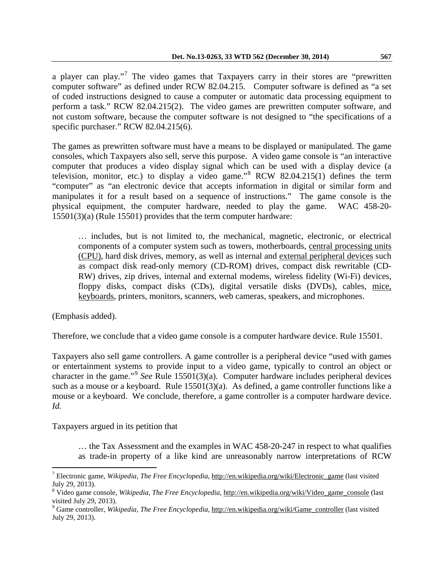a player can [play.](http://en.wikipedia.org/wiki/Play_(activity))"<sup>[7](#page-5-0)</sup> The video games that Taxpayers carry in their stores are "prewritten" computer software" as defined under RCW 82.04.215. Computer software is defined as "a set of coded instructions designed to cause a computer or automatic data processing equipment to perform a task." RCW 82.04.215(2). The video games are prewritten computer software, and not custom software, because the computer software is not designed to "the specifications of a specific purchaser." RCW 82.04.215(6).

The games as prewritten software must have a means to be displayed or manipulated. The game consoles, which Taxpayers also sell, serve this purpose. A video game console is "an interactive computer that produces a [video display signal](http://en.wikipedia.org/wiki/Video_signal) which can be used with a display device (a [television,](http://en.wikipedia.org/wiki/Television) [monitor,](http://en.wikipedia.org/wiki/Video_monitor) etc.) to display a [video game.](http://en.wikipedia.org/wiki/Video_game)"[8](#page-5-1) RCW 82.04.215(1) defines the term "computer" as "an electronic device that accepts information in digital or similar form and manipulates it for a result based on a sequence of instructions." The game console is the physical equipment, the computer hardware, needed to play the game. WAC 458-20- 15501(3)(a) (Rule 15501) provides that the term computer hardware:

… includes, but is not limited to, the mechanical, magnetic, electronic, or electrical components of a computer system such as towers, motherboards, central processing units (CPU), hard disk drives, memory, as well as internal and external peripheral devices such as compact disk read-only memory (CD-ROM) drives, compact disk rewritable (CD-RW) drives, zip drives, internal and external modems, wireless fidelity (Wi-Fi) devices, floppy disks, compact disks (CDs), digital versatile disks (DVDs), cables, mice, keyboards, printers, monitors, scanners, web cameras, speakers, and microphones.

(Emphasis added).

 $\overline{a}$ 

Therefore, we conclude that a video game console is a computer hardware device. Rule 15501.

Taxpayers also sell game controllers. A game controller is a peripheral device "used with games or entertainment systems to provide input to a video game, typically to control an object or character in the game."[9](#page-5-2) *See* Rule 15501(3)(a). Computer hardware includes peripheral devices such as a mouse or a keyboard. Rule 15501(3)(a). As defined, a game controller functions like a mouse or a keyboard. We conclude, therefore, a game controller is a computer hardware device. *Id.*

Taxpayers argued in its petition that

… the Tax Assessment and the examples in WAC 458-20-247 in respect to what qualifies as trade-in property of a like kind are unreasonably narrow interpretations of RCW

<span id="page-5-0"></span><sup>7</sup> Electronic game, *Wikipedia, The Free Encyclopedia*, http://en.wikipedia.org/wiki/Electronic\_game (last visited July 29, 2013).

<span id="page-5-1"></span><sup>&</sup>lt;sup>8</sup> Video game console, *Wikipedia, The Free Encyclopedia*, http://en.wikipedia.org/wiki/Video\_game\_console (last visited July 29, 2013).

<span id="page-5-2"></span><sup>&</sup>lt;sup>9</sup> Game controller, *Wikipedia, The Free Encyclopedia*, http://en.wikipedia.org/wiki/Game\_controller (last visited July 29, 2013).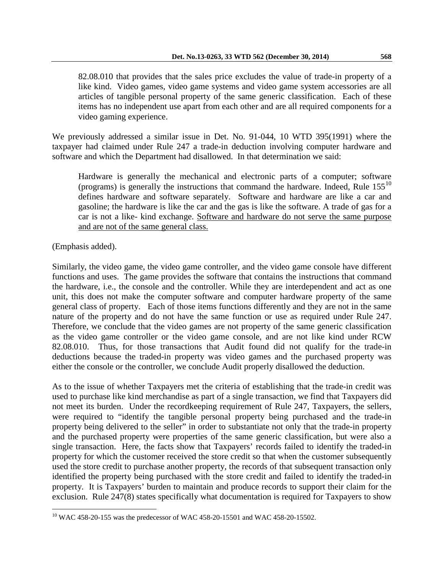82.08.010 that provides that the sales price excludes the value of trade-in property of a like kind. Video games, video game systems and video game system accessories are all articles of tangible personal property of the same generic classification. Each of these items has no independent use apart from each other and are all required components for a video gaming experience.

We previously addressed a similar issue in Det. No. 91-044, 10 WTD 395(1991) where the taxpayer had claimed under Rule 247 a trade-in deduction involving computer hardware and software and which the Department had disallowed. In that determination we said:

Hardware is generally the mechanical and electronic parts of a computer; software (programs) is generally the instructions that command the hardware. Indeed, Rule  $155^{10}$  $155^{10}$  $155^{10}$ defines hardware and software separately. Software and hardware are like a car and gasoline; the hardware is like the car and the gas is like the software. A trade of gas for a car is not a like- kind exchange. Software and hardware do not serve the same purpose and are not of the same general class.

(Emphasis added).

 $\overline{a}$ 

Similarly, the video game, the video game controller, and the video game console have different functions and uses. The game provides the software that contains the instructions that command the hardware, i.e., the console and the controller. While they are interdependent and act as one unit, this does not make the computer software and computer hardware property of the same general class of property. Each of those items functions differently and they are not in the same nature of the property and do not have the same function or use as required under Rule 247. Therefore, we conclude that the video games are not property of the same generic classification as the video game controller or the video game console, and are not like kind under RCW 82.08.010. Thus, for those transactions that Audit found did not qualify for the trade-in deductions because the traded-in property was video games and the purchased property was either the console or the controller, we conclude Audit properly disallowed the deduction.

As to the issue of whether Taxpayers met the criteria of establishing that the trade-in credit was used to purchase like kind merchandise as part of a single transaction, we find that Taxpayers did not meet its burden. Under the recordkeeping requirement of Rule 247, Taxpayers, the sellers, were required to "identify the tangible personal property being purchased and the trade-in property being delivered to the seller" in order to substantiate not only that the trade-in property and the purchased property were properties of the same generic classification, but were also a single transaction. Here, the facts show that Taxpayers' records failed to identify the traded-in property for which the customer received the store credit so that when the customer subsequently used the store credit to purchase another property, the records of that subsequent transaction only identified the property being purchased with the store credit and failed to identify the traded-in property. It is Taxpayers' burden to maintain and produce records to support their claim for the exclusion. Rule 247(8) states specifically what documentation is required for Taxpayers to show

<span id="page-6-0"></span><sup>&</sup>lt;sup>10</sup> WAC 458-20-155 was the predecessor of WAC 458-20-15501 and WAC 458-20-15502.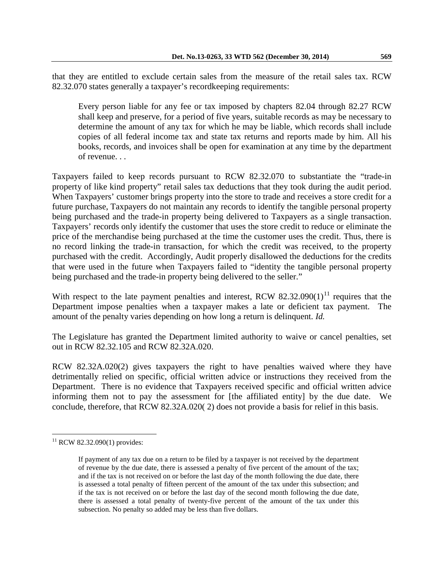that they are entitled to exclude certain sales from the measure of the retail sales tax. RCW 82.32.070 states generally a taxpayer's recordkeeping requirements:

Every person liable for any fee or tax imposed by chapters [82.04](http://apps.leg.wa.gov/RCW/default.aspx?cite=82.04) through [82.27](http://apps.leg.wa.gov/RCW/default.aspx?cite=82.27) RCW shall keep and preserve, for a period of five years, suitable records as may be necessary to determine the amount of any tax for which he may be liable, which records shall include copies of all federal income tax and state tax returns and reports made by him. All his books, records, and invoices shall be open for examination at any time by the department of revenue. . .

Taxpayers failed to keep records pursuant to RCW 82.32.070 to substantiate the "trade-in property of like kind property" retail sales tax deductions that they took during the audit period. When Taxpayers' customer brings property into the store to trade and receives a store credit for a future purchase, Taxpayers do not maintain any records to identify the tangible personal property being purchased and the trade-in property being delivered to Taxpayers as a single transaction. Taxpayers' records only identify the customer that uses the store credit to reduce or eliminate the price of the merchandise being purchased at the time the customer uses the credit. Thus, there is no record linking the trade-in transaction, for which the credit was received, to the property purchased with the credit. Accordingly, Audit properly disallowed the deductions for the credits that were used in the future when Taxpayers failed to "identity the tangible personal property being purchased and the trade-in property being delivered to the seller."

With respect to the late payment penalties and interest, RCW  $82.32.090(1)$ <sup>[11](#page-7-0)</sup> requires that the Department impose penalties when a taxpayer makes a late or deficient tax payment. The amount of the penalty varies depending on how long a return is delinquent. *Id.*

The Legislature has granted the Department limited authority to waive or cancel penalties, set out in RCW 82.32.105 and RCW 82.32A.020.

RCW 82.32A.020(2) gives taxpayers the right to have penalties waived where they have detrimentally relied on specific, official written advice or instructions they received from the Department. There is no evidence that Taxpayers received specific and official written advice informing them not to pay the assessment for [the affiliated entity] by the due date. We conclude, therefore, that RCW 82.32A.020( 2) does not provide a basis for relief in this basis.

 $\overline{a}$ 

<span id="page-7-0"></span> $11$  RCW 82.32.090(1) provides:

If payment of any tax due on a return to be filed by a taxpayer is not received by the department of revenue by the due date, there is assessed a penalty of five percent of the amount of the tax; and if the tax is not received on or before the last day of the month following the due date, there is assessed a total penalty of fifteen percent of the amount of the tax under this subsection; and if the tax is not received on or before the last day of the second month following the due date, there is assessed a total penalty of twenty-five percent of the amount of the tax under this subsection. No penalty so added may be less than five dollars.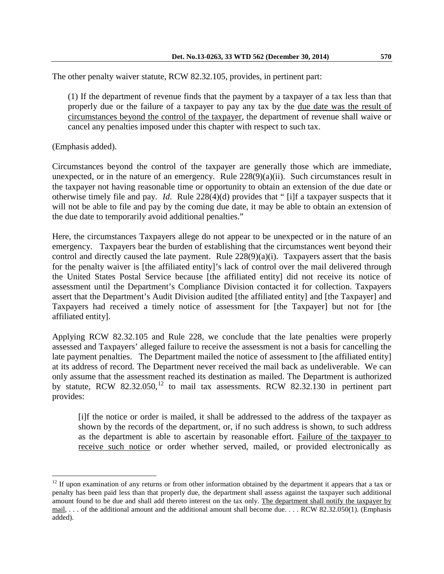The other penalty waiver statute, RCW 82.32.105, provides, in pertinent part:

(1) If the department of revenue finds that the payment by a taxpayer of a tax less than that properly due or the failure of a taxpayer to pay any tax by the due date was the result of circumstances beyond the control of the taxpayer, the department of revenue shall waive or cancel any penalties imposed under this chapter with respect to such tax.

(Emphasis added).

 $\overline{a}$ 

Circumstances beyond the control of the taxpayer are generally those which are immediate, unexpected, or in the nature of an emergency. Rule  $228(9)(a)(ii)$ . Such circumstances result in the taxpayer not having reasonable time or opportunity to obtain an extension of the due date or otherwise timely file and pay. *Id*. Rule 228(4)(d) provides that " [i]f a taxpayer suspects that it will not be able to file and pay by the coming due date, it may be able to obtain an extension of the due date to temporarily avoid additional penalties."

Here, the circumstances Taxpayers allege do not appear to be unexpected or in the nature of an emergency. Taxpayers bear the burden of establishing that the circumstances went beyond their control and directly caused the late payment. Rule 228(9)(a)(i). Taxpayers assert that the basis for the penalty waiver is [the affiliated entity]'s lack of control over the mail delivered through the United States Postal Service because [the affiliated entity] did not receive its notice of assessment until the Department's Compliance Division contacted it for collection. Taxpayers assert that the Department's Audit Division audited [the affiliated entity] and [the Taxpayer] and Taxpayers had received a timely notice of assessment for [the Taxpayer] but not for [the affiliated entity].

Applying RCW 82.32.105 and Rule 228, we conclude that the late penalties were properly assessed and Taxpayers' alleged failure to receive the assessment is not a basis for cancelling the late payment penalties. The Department mailed the notice of assessment to [the affiliated entity] at its address of record. The Department never received the mail back as undeliverable. We can only assume that the assessment reached its destination as mailed. The Department is authorized by statute, RCW 82.32.050,<sup>[12](#page-8-0)</sup> to mail tax assessments. RCW 82.32.130 in pertinent part provides:

[i]f the notice or order is mailed, it shall be addressed to the address of the taxpayer as shown by the records of the department, or, if no such address is shown, to such address as the department is able to ascertain by reasonable effort. Failure of the taxpayer to receive such notice or order whether served, mailed, or provided electronically as

<span id="page-8-0"></span> $12$  If upon examination of any returns or from other information obtained by the department it appears that a tax or penalty has been paid less than that properly due, the department shall assess against the taxpayer such additional amount found to be due and shall add thereto interest on the tax only. The department shall notify the taxpayer by mail, . . . of the additional amount and the additional amount shall become due. . . . RCW 82.32.050(1). (Emphasis added).